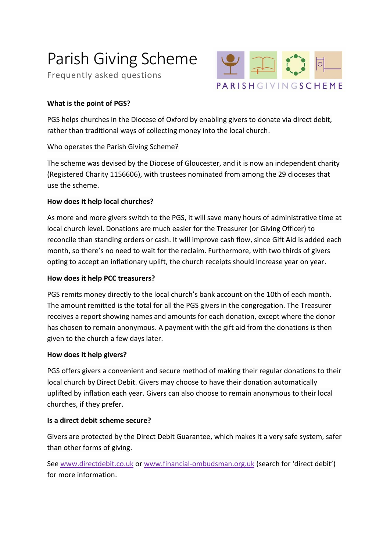# Parish Giving Scheme

Frequently asked questions



# **What is the point of PGS?**

PGS helps churches in the Diocese of Oxford by enabling givers to donate via direct debit, rather than traditional ways of collecting money into the local church.

Who operates the Parish Giving Scheme?

The scheme was devised by the Diocese of Gloucester, and it is now an independent charity (Registered Charity 1156606), with trustees nominated from among the 29 dioceses that use the scheme.

# **How does it help local churches?**

As more and more givers switch to the PGS, it will save many hours of administrative time at local church level. Donations are much easier for the Treasurer (or Giving Officer) to reconcile than standing orders or cash. It will improve cash flow, since Gift Aid is added each month, so there's no need to wait for the reclaim. Furthermore, with two thirds of givers opting to accept an inflationary uplift, the church receipts should increase year on year.

## **How does it help PCC treasurers?**

PGS remits money directly to the local church's bank account on the 10th of each month. The amount remitted is the total for all the PGS givers in the congregation. The Treasurer receives a report showing names and amounts for each donation, except where the donor has chosen to remain anonymous. A payment with the gift aid from the donations is then given to the church a few days later.

# **How does it help givers?**

PGS offers givers a convenient and secure method of making their regular donations to their local church by Direct Debit. Givers may choose to have their donation automatically uplifted by inflation each year. Givers can also choose to remain anonymous to their local churches, if they prefer.

# **Is a direct debit scheme secure?**

Givers are protected by the Direct Debit Guarantee, which makes it a very safe system, safer than other forms of giving.

See [www.directdebit.co.uk](http://www.directdebit.co.uk/) or [www.financial-ombudsman.org.uk](http://www.financial-ombudsman.org.uk/) (search for 'direct debit') for more information.